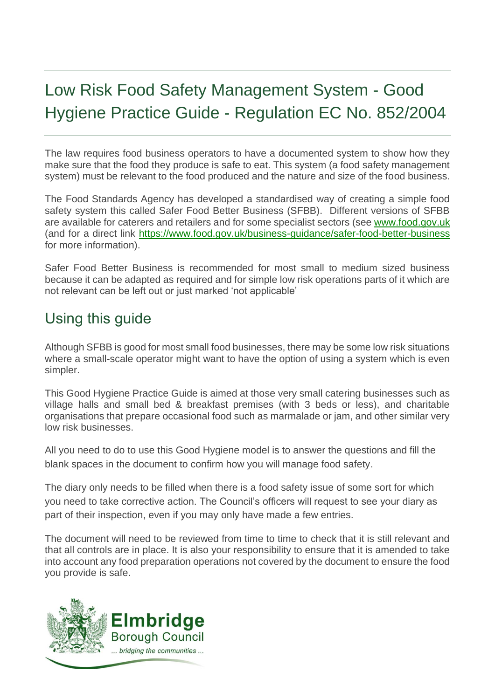# Low Risk Food Safety Management System - Good Hygiene Practice Guide - Regulation EC No. 852/2004

The law requires food business operators to have a documented system to show how they make sure that the food they produce is safe to eat. This system (a food safety management system) must be relevant to the food produced and the nature and size of the food business.

The Food Standards Agency has developed a standardised way of creating a simple food safety system this called Safer Food Better Business (SFBB). Different versions of SFBB are available for caterers and retailers and for some specialist sectors (see [www.food.gov.uk](http://www.food.gov.uk/) (and for a direct link<https://www.food.gov.uk/business-guidance/safer-food-better-business> for more information).

Safer Food Better Business is recommended for most small to medium sized business because it can be adapted as required and for simple low risk operations parts of it which are not relevant can be left out or just marked 'not applicable'

# Using this guide

Although SFBB is good for most small food businesses, there may be some low risk situations where a small-scale operator might want to have the option of using a system which is even simpler.

This Good Hygiene Practice Guide is aimed at those very small catering businesses such as village halls and small bed & breakfast premises (with 3 beds or less), and charitable organisations that prepare occasional food such as marmalade or jam, and other similar very low risk businesses.

All you need to do to use this Good Hygiene model is to answer the questions and fill the blank spaces in the document to confirm how you will manage food safety.

The diary only needs to be filled when there is a food safety issue of some sort for which you need to take corrective action. The Council's officers will request to see your diary as part of their inspection, even if you may only have made a few entries.

The document will need to be reviewed from time to time to check that it is still relevant and that all controls are in place. It is also your responsibility to ensure that it is amended to take into account any food preparation operations not covered by the document to ensure the food you provide is safe.

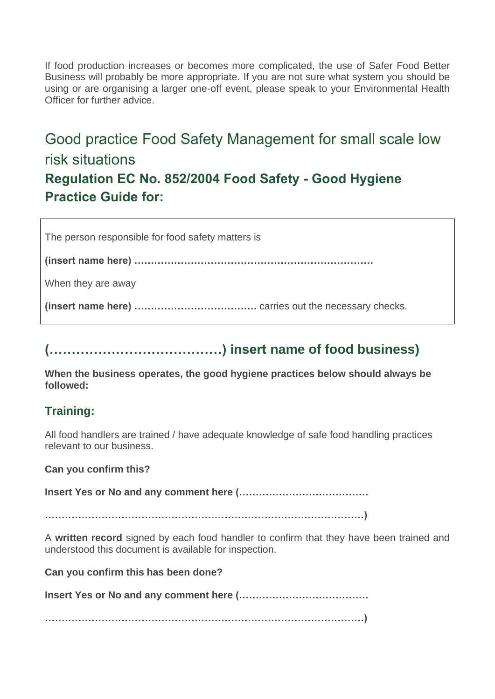If food production increases or becomes more complicated, the use of Safer Food Better Business will probably be more appropriate. If you are not sure what system you should be using or are organising a larger one-off event, please speak to your Environmental Health Officer for further advice.

# Good practice Food Safety Management for small scale low risk situations **Regulation EC No. 852/2004 Food Safety - Good Hygiene Practice Guide for:**

The person responsible for food safety matters is

**(insert name here) ………………………………………………………………**

When they are away

**(insert name here) ……………………………….** carries out the necessary checks.

# **(…………………………………) insert name of food business)**

**When the business operates, the good hygiene practices below should always be followed:**

# **Training:**

All food handlers are trained / have adequate knowledge of safe food handling practices relevant to our business.

**Can you confirm this?**

**Insert Yes or No and any comment here (…………………………………**

**……………………………………………………………………………………)**

A **written record** signed by each food handler to confirm that they have been trained and understood this document is available for inspection.

**Can you confirm this has been done?**

**Insert Yes or No and any comment here (…………………………………**

**……………………………………………………………………………………)**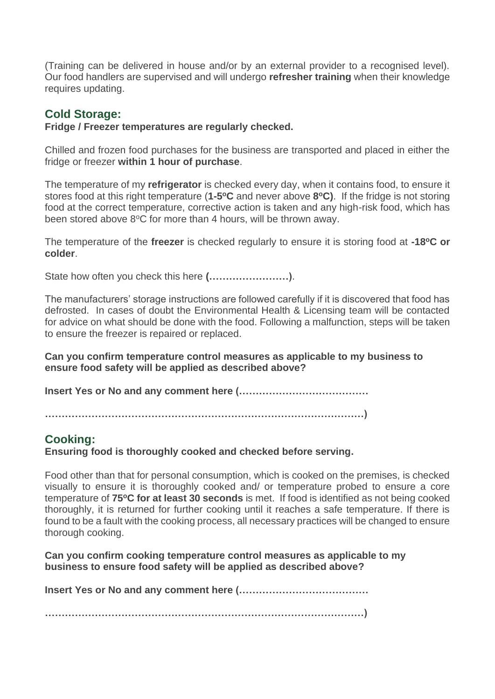(Training can be delivered in house and/or by an external provider to a recognised level). Our food handlers are supervised and will undergo **refresher training** when their knowledge requires updating.

#### **Cold Storage:**

#### **Fridge / Freezer temperatures are regularly checked.**

Chilled and frozen food purchases for the business are transported and placed in either the fridge or freezer **within 1 hour of purchase**.

The temperature of my **refrigerator** is checked every day, when it contains food, to ensure it stores food at this right temperature (**1-5 <sup>o</sup>C** and never above **8 <sup>o</sup>C)**. If the fridge is not storing food at the correct temperature, corrective action is taken and any high-risk food, which has been stored above  $8^{\circ}$ C for more than 4 hours, will be thrown away.

The temperature of the **freezer** is checked regularly to ensure it is storing food at **-18<sup>o</sup>C or colder**.

State how often you check this here **(……………………)**.

The manufacturers' storage instructions are followed carefully if it is discovered that food has defrosted. In cases of doubt the Environmental Health & Licensing team will be contacted for advice on what should be done with the food. Following a malfunction, steps will be taken to ensure the freezer is repaired or replaced.

**Can you confirm temperature control measures as applicable to my business to ensure food safety will be applied as described above?**

**Insert Yes or No and any comment here (…………………………………**

**……………………………………………………………………………………)**

## **Cooking:**

**Ensuring food is thoroughly cooked and checked before serving.**

Food other than that for personal consumption, which is cooked on the premises, is checked visually to ensure it is thoroughly cooked and/ or temperature probed to ensure a core temperature of **75<sup>o</sup>C for at least 30 seconds** is met. If food is identified as not being cooked thoroughly, it is returned for further cooking until it reaches a safe temperature. If there is found to be a fault with the cooking process, all necessary practices will be changed to ensure thorough cooking.

**Can you confirm cooking temperature control measures as applicable to my business to ensure food safety will be applied as described above?**

**Insert Yes or No and any comment here (…………………………………**

**……………………………………………………………………………………)**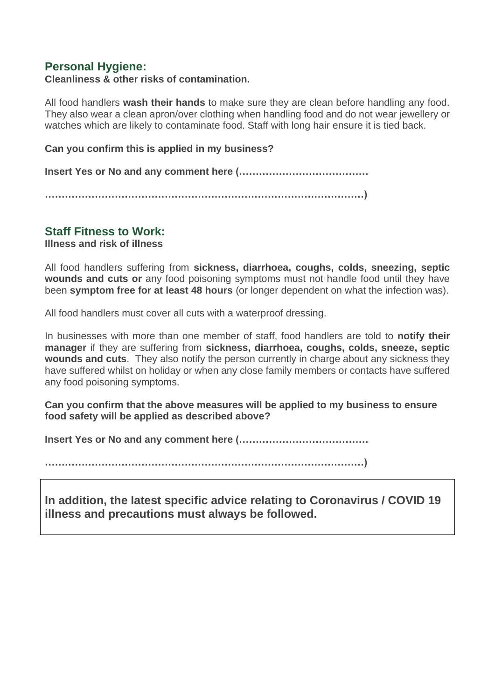## **Personal Hygiene:**

#### **Cleanliness & other risks of contamination.**

All food handlers **wash their hands** to make sure they are clean before handling any food. They also wear a clean apron/over clothing when handling food and do not wear jewellery or watches which are likely to contaminate food. Staff with long hair ensure it is tied back.

**Can you confirm this is applied in my business?**

**Insert Yes or No and any comment here (…………………………………**

**……………………………………………………………………………………)**

## **Staff Fitness to Work:**

**Illness and risk of illness**

All food handlers suffering from **sickness, diarrhoea, coughs, colds, sneezing, septic wounds and cuts or** any food poisoning symptoms must not handle food until they have been **symptom free for at least 48 hours** (or longer dependent on what the infection was).

All food handlers must cover all cuts with a waterproof dressing.

In businesses with more than one member of staff, food handlers are told to **notify their manager** if they are suffering from **sickness, diarrhoea, coughs, colds, sneeze, septic wounds and cuts**. They also notify the person currently in charge about any sickness they have suffered whilst on holiday or when any close family members or contacts have suffered any food poisoning symptoms.

**Can you confirm that the above measures will be applied to my business to ensure food safety will be applied as described above?**

**Insert Yes or No and any comment here (…………………………………**

**……………………………………………………………………………………)**

**In addition, the latest specific advice relating to Coronavirus / COVID 19 illness and precautions must always be followed.**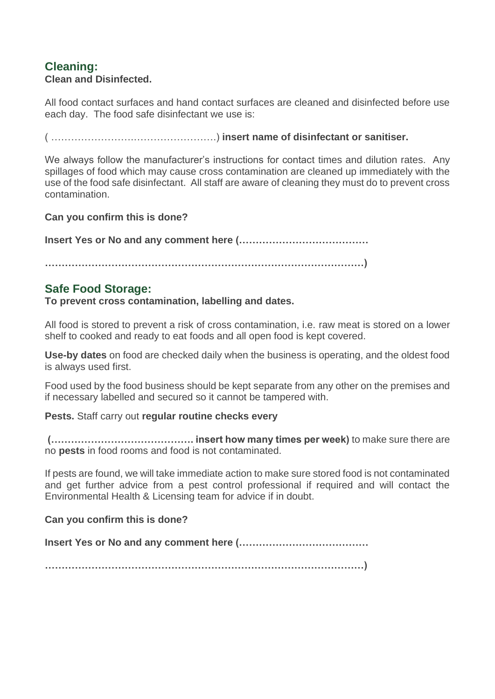## **Cleaning: Clean and Disinfected.**

All food contact surfaces and hand contact surfaces are cleaned and disinfected before use each day. The food safe disinfectant we use is:

( …………………….…………………….) **insert name of disinfectant or sanitiser.**

We always follow the manufacturer's instructions for contact times and dilution rates. Any spillages of food which may cause cross contamination are cleaned up immediately with the use of the food safe disinfectant. All staff are aware of cleaning they must do to prevent cross contamination.

**Can you confirm this is done?**

**Insert Yes or No and any comment here (…………………………………**

**……………………………………………………………………………………)**

## **Safe Food Storage:**

**To prevent cross contamination, labelling and dates.**

All food is stored to prevent a risk of cross contamination, i.e. raw meat is stored on a lower shelf to cooked and ready to eat foods and all open food is kept covered.

**Use-by dates** on food are checked daily when the business is operating, and the oldest food is always used first.

Food used by the food business should be kept separate from any other on the premises and if necessary labelled and secured so it cannot be tampered with.

#### **Pests.** Staff carry out **regular routine checks every**

**(……………………………………. insert how many times per week)** to make sure there are no **pests** in food rooms and food is not contaminated.

If pests are found, we will take immediate action to make sure stored food is not contaminated and get further advice from a pest control professional if required and will contact the Environmental Health & Licensing team for advice if in doubt.

#### **Can you confirm this is done?**

**Insert Yes or No and any comment here (…………………………………**

**……………………………………………………………………………………)**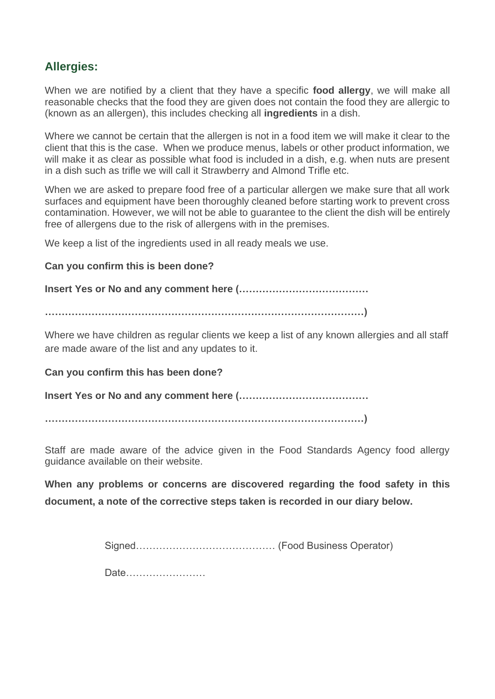## **Allergies:**

When we are notified by a client that they have a specific **food allergy**, we will make all reasonable checks that the food they are given does not contain the food they are allergic to (known as an allergen), this includes checking all **ingredients** in a dish.

Where we cannot be certain that the allergen is not in a food item we will make it clear to the client that this is the case. When we produce menus, labels or other product information, we will make it as clear as possible what food is included in a dish, e.g. when nuts are present in a dish such as trifle we will call it Strawberry and Almond Trifle etc.

When we are asked to prepare food free of a particular allergen we make sure that all work surfaces and equipment have been thoroughly cleaned before starting work to prevent cross contamination. However, we will not be able to guarantee to the client the dish will be entirely free of allergens due to the risk of allergens with in the premises.

We keep a list of the ingredients used in all ready meals we use.

#### **Can you confirm this is been done?**

**Insert Yes or No and any comment here (…………………………………**

**……………………………………………………………………………………)**

Where we have children as regular clients we keep a list of any known allergies and all staff are made aware of the list and any updates to it.

#### **Can you confirm this has been done?**

**Insert Yes or No and any comment here (…………………………………**

**……………………………………………………………………………………)**

Staff are made aware of the advice given in the Food Standards Agency food allergy guidance available on their website.

**When any problems or concerns are discovered regarding the food safety in this document, a note of the corrective steps taken is recorded in our diary below.**

Signed…………………………………… (Food Business Operator)

Date……………………